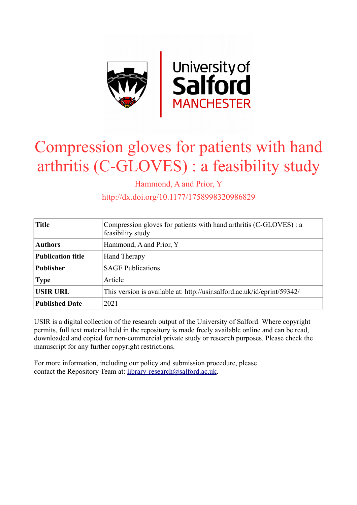

## Compression gloves for patients with hand arthritis (C-GLOVES) : a feasibility study

Hammond, A and Prior, Y

http://dx.doi.org/10.1177/1758998320986829

| <b>Title</b>             | Compression gloves for patients with hand arthritis (C-GLOVES) : a<br>feasibility study |
|--------------------------|-----------------------------------------------------------------------------------------|
| <b>Authors</b>           | Hammond, A and Prior, Y                                                                 |
| <b>Publication title</b> | <b>Hand Therapy</b>                                                                     |
| <b>Publisher</b>         | <b>SAGE Publications</b>                                                                |
| <b>Type</b>              | Article                                                                                 |
| <b>USIR URL</b>          | This version is available at: http://usir.salford.ac.uk/id/eprint/59342/                |
| <b>Published Date</b>    | 2021                                                                                    |

USIR is a digital collection of the research output of the University of Salford. Where copyright permits, full text material held in the repository is made freely available online and can be read, downloaded and copied for non-commercial private study or research purposes. Please check the manuscript for any further copyright restrictions.

For more information, including our policy and submission procedure, please contact the Repository Team at: [library-research@salford.ac.uk.](mailto:library-research@salford.ac.uk)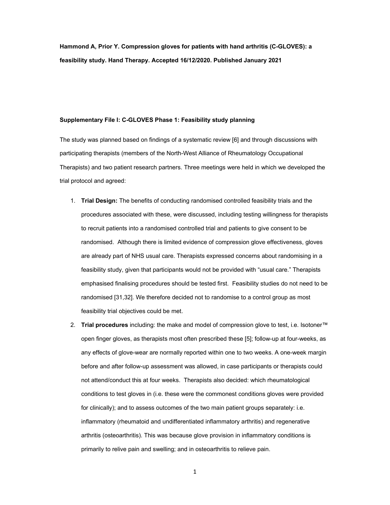**Hammond A, Prior Y. Compression gloves for patients with hand arthritis (C-GLOVES): a feasibility study. Hand Therapy. Accepted 16/12/2020. Published January 2021** 

## **Supplementary File I: C-GLOVES Phase 1: Feasibility study planning**

The study was planned based on findings of a systematic review [6] and through discussions with participating therapists (members of the North-West Alliance of Rheumatology Occupational Therapists) and two patient research partners. Three meetings were held in which we developed the trial protocol and agreed:

- 1. **Trial Design:** The benefits of conducting randomised controlled feasibility trials and the procedures associated with these, were discussed, including testing willingness for therapists to recruit patients into a randomised controlled trial and patients to give consent to be randomised. Although there is limited evidence of compression glove effectiveness, gloves are already part of NHS usual care. Therapists expressed concerns about randomising in a feasibility study, given that participants would not be provided with "usual care." Therapists emphasised finalising procedures should be tested first. Feasibility studies do not need to be randomised [31,32]. We therefore decided not to randomise to a control group as most feasibility trial objectives could be met.
- 2. **Trial procedures** including: the make and model of compression glove to test, i.e. Isotoner™ open finger gloves, as therapists most often prescribed these [5]; follow-up at four-weeks, as any effects of glove-wear are normally reported within one to two weeks. A one-week margin before and after follow-up assessment was allowed, in case participants or therapists could not attend/conduct this at four weeks. Therapists also decided: which rheumatological conditions to test gloves in (i.e. these were the commonest conditions gloves were provided for clinically); and to assess outcomes of the two main patient groups separately: i.e. inflammatory (rheumatoid and undifferentiated inflammatory arthritis) and regenerative arthritis (osteoarthritis). This was because glove provision in inflammatory conditions is primarily to relive pain and swelling; and in osteoarthritis to relieve pain.
	- 1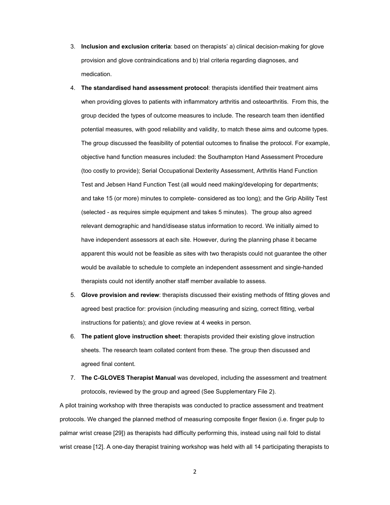- 3. **Inclusion and exclusion criteria**: based on therapists' a) clinical decision-making for glove provision and glove contraindications and b) trial criteria regarding diagnoses, and medication.
- 4. **The standardised hand assessment protocol**: therapists identified their treatment aims when providing gloves to patients with inflammatory arthritis and osteoarthritis. From this, the group decided the types of outcome measures to include. The research team then identified potential measures, with good reliability and validity, to match these aims and outcome types. The group discussed the feasibility of potential outcomes to finalise the protocol. For example, objective hand function measures included: the Southampton Hand Assessment Procedure (too costly to provide); Serial Occupational Dexterity Assessment, Arthritis Hand Function Test and Jebsen Hand Function Test (all would need making/developing for departments; and take 15 (or more) minutes to complete- considered as too long); and the Grip Ability Test (selected - as requires simple equipment and takes 5 minutes). The group also agreed relevant demographic and hand/disease status information to record. We initially aimed to have independent assessors at each site. However, during the planning phase it became apparent this would not be feasible as sites with two therapists could not guarantee the other would be available to schedule to complete an independent assessment and single-handed therapists could not identify another staff member available to assess.
- 5. **Glove provision and review**: therapists discussed their existing methods of fitting gloves and agreed best practice for: provision (including measuring and sizing, correct fitting, verbal instructions for patients); and glove review at 4 weeks in person.
- 6. **The patient glove instruction sheet**: therapists provided their existing glove instruction sheets. The research team collated content from these. The group then discussed and agreed final content.
- 7. **The C-GLOVES Therapist Manual** was developed, including the assessment and treatment protocols, reviewed by the group and agreed (See Supplementary File 2).

A pilot training workshop with three therapists was conducted to practice assessment and treatment protocols. We changed the planned method of measuring composite finger flexion (i.e. finger pulp to palmar wrist crease [29]) as therapists had difficulty performing this, instead using nail fold to distal wrist crease [12]. A one-day therapist training workshop was held with all 14 participating therapists to

2